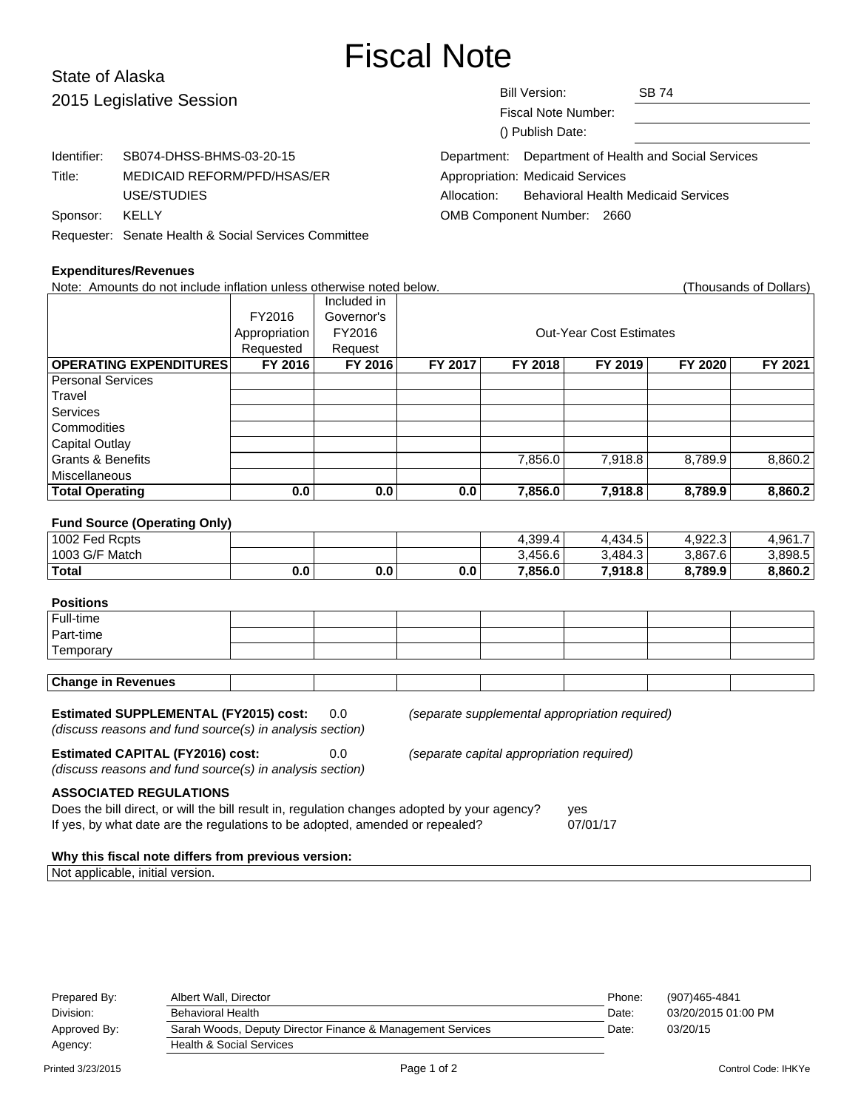# Fiscal Note

# State of Alaska 2015

| 2015 Legislative Session |                                                      | <b>Bill Version:</b><br><b>Fiscal Note Number:</b><br>() Publish Date: |                                            | <b>SB 74</b>                                         |  |
|--------------------------|------------------------------------------------------|------------------------------------------------------------------------|--------------------------------------------|------------------------------------------------------|--|
| Identifier:              | SB074-DHSS-BHMS-03-20-15                             |                                                                        |                                            | Department: Department of Health and Social Services |  |
| Title:                   | MEDICAID REFORM/PFD/HSAS/ER                          |                                                                        | Appropriation: Medicaid Services           |                                                      |  |
|                          | USE/STUDIES                                          | Allocation:                                                            | <b>Behavioral Health Medicaid Services</b> |                                                      |  |
| Sponsor:                 | KELLY                                                | OMB Component Number: 2660                                             |                                            |                                                      |  |
|                          | Requester: Senate Health & Social Services Committee |                                                                        |                                            |                                                      |  |

#### **Expenditures/Revenues**

Note: Amounts do not include inflation unless otherwise noted below. Thousands of Dollars) (Thousands of Dollars) Included in FY2016 Governor's Appropriation FY2016 | COUNTER COST Estimates Requested Request **OPERATING EXPENDITURES FY 2016 FY 2016 FY 2017 FY 2018 FY 2019 FY 2020 FY 2021** Personal Services **Travel Services Commodities** Capital Outlay Grants & Benefits **Canadial Contract Contract Provide 7,856.0** 7,918.8 8,789.9 8,860.2 Miscellaneous **Total Operating 0.0 0.0 0.0 7,856.0 7,918.8 8,789.9 8,860.2 Fund Source (Operating Only)** 1002 Fed Rcpts 4,399.4 | 4,434.5 | 4,922.3 | 4,961.7 1003 G/F Match 3,456.6 3,456.6 3,484.3 3,867.6 3,898.5 **Total 0.0 0.0 0.0 7,856.0 7,918.8 8,789.9 8,860.2 Positions** Full-time Part-time **Temporary Change in Revenues Estimated SUPPLEMENTAL (FY2015) cost:** 0.0 (separate supplemental appropriation required) (discuss reasons and fund source(s) in analysis section) **Estimated CAPITAL (FY2016) cost:** 0.0 (separate capital appropriation required) (discuss reasons and fund source(s) in analysis section) **ASSOCIATED REGULATIONS** Does the bill direct, or will the bill result in, regulation changes adopted by your agency? yes If yes, by what date are the regulations to be adopted, amended or repealed? 07/01/17 **Why this fiscal note differs from previous version:**

## Prepared By: Albert Wall, Director Phone: (907)465-4841 Division: Behavioral Health Date: 03/20/2015 01:00 PM Approved By: Sarah Woods, Deputy Director Finance & Management Services Date: 03/20/15 Agency: Health & Social Services Printed 3/23/2015 Page 1 of 2 Control Code: IHKYe

Not applicable, initial version.